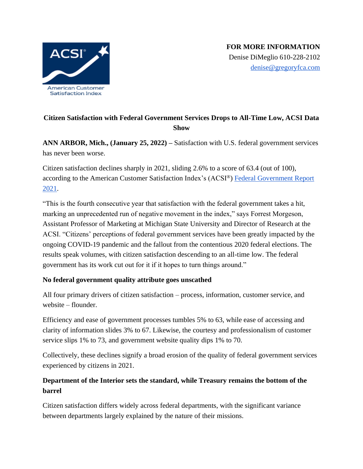

# **Citizen Satisfaction with Federal Government Services Drops to All-Time Low, ACSI Data Show**

**ANN ARBOR, Mich., (January 25, 2022) –** Satisfaction with U.S. federal government services has never been worse.

Citizen satisfaction declines sharply in 2021, sliding 2.6% to a score of 63.4 (out of 100), according to the American Customer Satisfaction Index's (ACSI®) [Federal Government Report](https://www.theacsi.org/news-and-resources/customer-satisfaction-reports/reports-2021/acsi-federal-government-report-2021)  [2021.](https://www.theacsi.org/news-and-resources/customer-satisfaction-reports/reports-2021/acsi-federal-government-report-2021)

"This is the fourth consecutive year that satisfaction with the federal government takes a hit, marking an unprecedented run of negative movement in the index," says Forrest Morgeson, Assistant Professor of Marketing at Michigan State University and Director of Research at the ACSI. "Citizens' perceptions of federal government services have been greatly impacted by the ongoing COVID-19 pandemic and the fallout from the contentious 2020 federal elections. The results speak volumes, with citizen satisfaction descending to an all-time low. The federal government has its work cut out for it if it hopes to turn things around."

### **No federal government quality attribute goes unscathed**

All four primary drivers of citizen satisfaction – process, information, customer service, and website – flounder.

Efficiency and ease of government processes tumbles 5% to 63, while ease of accessing and clarity of information slides 3% to 67. Likewise, the courtesy and professionalism of customer service slips 1% to 73, and government website quality dips 1% to 70.

Collectively, these declines signify a broad erosion of the quality of federal government services experienced by citizens in 2021.

## **Department of the Interior sets the standard, while Treasury remains the bottom of the barrel**

Citizen satisfaction differs widely across federal departments, with the significant variance between departments largely explained by the nature of their missions.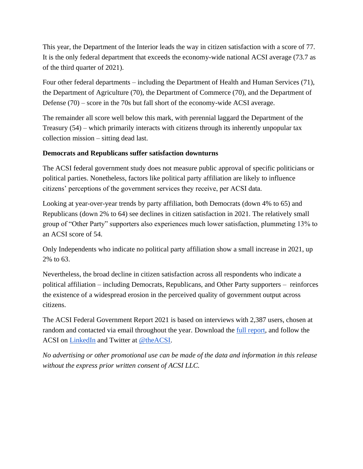This year, the Department of the Interior leads the way in citizen satisfaction with a score of 77. It is the only federal department that exceeds the economy-wide national ACSI average (73.7 as of the third quarter of 2021).

Four other federal departments – including the Department of Health and Human Services (71), the Department of Agriculture (70), the Department of Commerce (70), and the Department of Defense (70) – score in the 70s but fall short of the economy-wide ACSI average.

The remainder all score well below this mark, with perennial laggard the Department of the Treasury (54) – which primarily interacts with citizens through its inherently unpopular tax collection mission – sitting dead last.

#### **Democrats and Republicans suffer satisfaction downturns**

The ACSI federal government study does not measure public approval of specific politicians or political parties. Nonetheless, factors like political party affiliation are likely to influence citizens' perceptions of the government services they receive, per ACSI data.

Looking at year-over-year trends by party affiliation, both Democrats (down 4% to 65) and Republicans (down 2% to 64) see declines in citizen satisfaction in 2021. The relatively small group of "Other Party" supporters also experiences much lower satisfaction, plummeting 13% to an ACSI score of 54.

Only Independents who indicate no political party affiliation show a small increase in 2021, up 2% to 63.

Nevertheless, the broad decline in citizen satisfaction across all respondents who indicate a political affiliation – including Democrats, Republicans, and Other Party supporters – reinforces the existence of a widespread erosion in the perceived quality of government output across citizens.

The ACSI Federal Government Report 2021 is based on interviews with 2,387 users, chosen at random and contacted via email throughout the year. Download the <u>full report</u>, and follow the ACSI on [LinkedIn](https://www.linkedin.com/company/american-customer-satisfaction-index-acsi-/) and Twitter at [@theACSI.](https://www.twitter.com/theacsi)

*No advertising or other promotional use can be made of the data and information in this release without the express prior written consent of ACSI LLC.*